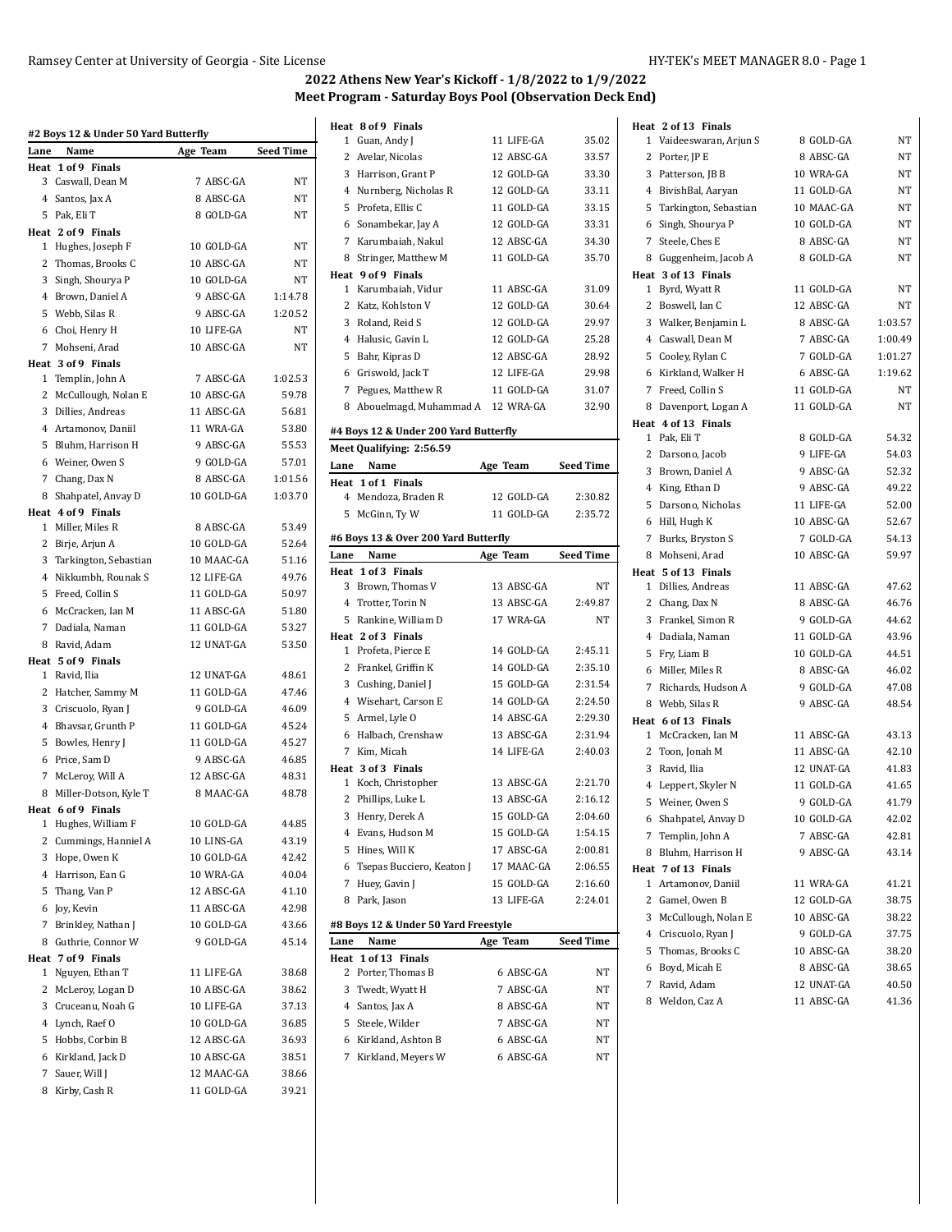|      | #2 Boys 12 & Under 50 Yard Butterfly    |            |                  |
|------|-----------------------------------------|------------|------------------|
| Lane | Name<br>Heat 1 of 9 Finals              | Age Team   | <b>Seed Time</b> |
|      | 3 Caswall, Dean M                       | 7 ABSC-GA  | NT               |
|      | 4 Santos, Jax A                         | 8 ABSC-GA  | NT               |
|      | 5 Pak, Eli T                            | 8 GOLD-GA  | NT               |
|      | Heat 2 of 9 Finals                      |            |                  |
|      | 1 Hughes, Joseph F                      | 10 GOLD-GA | NT               |
|      | 2 Thomas, Brooks C                      | 10 ABSC-GA | NT               |
|      | 3 Singh, Shourya P                      | 10 GOLD-GA | NT               |
|      | 4 Brown, Daniel A                       | 9 ABSC-GA  | 1:14.78          |
|      | 5 Webb, Silas R                         | 9 ABSC-GA  | 1:20.52          |
|      | 6 Choi, Henry H                         | 10 LIFE-GA | NT               |
|      | 7 Mohseni, Arad                         | 10 ABSC-GA | NT               |
|      | Heat 3 of 9 Finals                      |            |                  |
|      | 1 Templin, John A                       | 7 ABSC-GA  | 1:02.53          |
|      | 2 McCullough, Nolan E                   | 10 ABSC-GA | 59.78            |
|      | 3 Dillies, Andreas                      | 11 ABSC-GA | 56.81            |
|      | 4 Artamonov, Daniil                     | 11 WRA-GA  | 53.80            |
|      | 5 Bluhm, Harrison H                     | 9 ABSC-GA  | 55.53            |
|      | 6 Weiner, Owen S                        | 9 GOLD-GA  | 57.01            |
|      | 7 Chang, Dax N                          | 8 ABSC-GA  | 1:01.56          |
|      | 8 Shahpatel, Anvay D                    | 10 GOLD-GA | 1:03.70          |
|      | Heat 4 of 9 Finals                      |            |                  |
|      | 1 Miller, Miles R                       | 8 ABSC-GA  | 53.49            |
|      | 2 Birje, Arjun A                        | 10 GOLD-GA | 52.64            |
|      | 3 Tarkington, Sebastian                 | 10 MAAC-GA | 51.16            |
|      | 4 Nikkumbh, Rounak S                    | 12 LIFE-GA | 49.76            |
|      | 5 Freed, Collin S                       | 11 GOLD-GA | 50.97            |
|      | 6 McCracken, Ian M                      | 11 ABSC-GA | 51.80            |
|      | 7 Dadiala, Naman                        | 11 GOLD-GA | 53.27            |
|      | 8 Ravid, Adam                           | 12 UNAT-GA | 53.50            |
|      | Heat 5 of 9 Finals                      |            |                  |
|      | 1 Ravid, Ilia                           | 12 UNAT-GA | 48.61            |
|      | 2 Hatcher, Sammy M                      | 11 GOLD-GA | 47.46            |
|      | 3 Criscuolo, Ryan J                     | 9 GOLD-GA  | 46.09            |
|      | 4 Bhavsar, Grunth P                     | 11 GOLD-GA | 45.24            |
|      | 5 Bowles, Henry J                       | 11 GOLD-GA | 45.27            |
|      | 6 Price, Sam D                          | 9 ABSC-GA  | 46.85            |
|      | 7 McLeroy, Will A                       | 12 ABSC-GA | 48.31            |
|      | 8 Miller-Dotson, Kyle T                 | 8 MAAC-GA  | 48.78            |
| 1    | Heat 6 of 9 Finals<br>Hughes, William F | 10 GOLD-GA | 44.85            |
| 2    | Cummings, Hanniel A                     | 10 LINS-GA | 43.19            |
| 3    | Hope, Owen K                            | 10 GOLD-GA | 42.42            |
|      | 4 Harrison, Ean G                       | 10 WRA-GA  | 40.04            |
| 5    | Thang, Van P                            | 12 ABSC-GA | 41.10            |
| 6    | Joy, Kevin                              | 11 ABSC-GA | 42.98            |
| 7    | Brinkley, Nathan J                      | 10 GOLD-GA | 43.66            |
| 8    | Guthrie, Connor W                       | 9 GOLD-GA  | 45.14            |
|      | Heat 7 of 9 Finals                      |            |                  |
| 1    | Nguyen, Ethan T                         | 11 LIFE-GA | 38.68            |
| 2    | McLeroy, Logan D                        | 10 ABSC-GA | 38.62            |
|      | 3 Cruceanu, Noah G                      | 10 LIFE-GA | 37.13            |
|      | 4 Lynch, Raef O                         | 10 GOLD-GA | 36.85            |
|      | 5 Hobbs, Corbin B                       | 12 ABSC-GA | 36.93            |
| 6    | Kirkland, Jack D                        | 10 ABSC-GA | 38.51            |
| 7    | Sauer, Will J                           | 12 MAAC-GA | 38.66            |
|      | 8 Kirby, Cash R                         | 11 GOLD-GA | 39.21            |
|      |                                         |            |                  |

|              | Heat 8 of 9 Finals                           |                        |                    |
|--------------|----------------------------------------------|------------------------|--------------------|
|              | 1 Guan, Andy J                               | 11 LIFE-GA             | 35.02              |
|              | 2 Avelar, Nicolas                            | 12 ABSC-GA             | 33.57              |
|              | 3 Harrison, Grant P                          | 12 GOLD-GA             | 33.30              |
|              | 4 Nurnberg, Nicholas R                       | 12 GOLD-GA             | 33.11              |
|              | 5 Profeta, Ellis C                           | 11 GOLD-GA             | 33.15              |
|              | 6 Sonambekar, Jay A                          | 12 GOLD-GA             | 33.31              |
| $7^{\circ}$  | Karumbaiah, Nakul                            | 12 ABSC-GA             | 34.30              |
|              | 8 Stringer, Matthew M                        | 11 GOLD-GA             | 35.70              |
|              | Heat 9 of 9 Finals                           |                        |                    |
| $\mathbf{1}$ | Karumbaiah. Vidur                            | 11 ABSC-GA             | 31.09              |
|              | 2 Katz, Kohlston V                           | 12 GOLD-GA             | 30.64              |
|              | 3 Roland, Reid S                             | 12 GOLD-GA             | 29.97              |
|              | 4 Halusic, Gavin L                           | 12 GOLD-GA             | 25.28              |
| 5            | Bahr, Kipras D                               | 12 ABSC-GA             | 28.92              |
|              | 6 Griswold, Jack T                           | 12 LIFE-GA             | 29.98              |
|              |                                              |                        |                    |
|              | 7 Pegues, Matthew R                          | 11 GOLD-GA             | 31.07              |
|              | 8 Abouelmagd, Muhammad A 12 WRA-GA           |                        | 32.90              |
|              | #4 Boys 12 & Under 200 Yard Butterfly        |                        |                    |
|              | Meet Qualifying: 2:56.59                     |                        |                    |
| Lane         | Name                                         | Age Team               | Seed Time          |
|              | Heat 1 of 1 Finals                           |                        |                    |
|              | 4 Mendoza, Braden R                          | 12 GOLD-GA             | 2:30.82            |
| 5            | McGinn, Ty W                                 | 11 GOLD-GA             | 2:35.72            |
|              | #6 Boys 13 & Over 200 Yard Butterfly         |                        |                    |
| Lane         | Name                                         | Age Team               | <b>Seed Time</b>   |
|              | Heat 1 of 3 Finals                           |                        |                    |
| 3            | Brown, Thomas V                              | 13 ABSC-GA             | NT                 |
|              |                                              |                        |                    |
|              |                                              |                        |                    |
|              | 4 Trotter, Torin N                           | 13 ABSC-GA             | 2:49.87<br>NT      |
|              | 5 Rankine, William D                         | 17 WRA-GA              |                    |
|              | Heat 2 of 3 Finals<br>1 Profeta, Pierce E    | 14 GOLD-GA             | 2:45.11            |
|              | 2 Frankel, Griffin K                         | 14 GOLD-GA             | 2:35.10            |
|              |                                              | 15 GOLD-GA             |                    |
|              | 3 Cushing, Daniel J                          | 14 GOLD-GA             | 2:31.54<br>2:24.50 |
|              | 4 Wisehart, Carson E                         |                        |                    |
|              | 5 Armel, Lyle O                              | 14 ABSC-GA             | 2:29.30            |
|              | 6 Halbach, Crenshaw                          | 13 ABSC-GA             | 2.31.94            |
|              | 7 Kim, Micah                                 | 14 LIFE-GA             | 2:40.03            |
| $\mathbf{1}$ | Heat 3 of 3 Finals                           | 13 ABSC-GA             | 2:21.70            |
|              | Koch, Christopher                            |                        |                    |
| 2            | Phillips, Luke L                             | 13 ABSC-GA             | 2:16.12            |
| 3            | Henry, Derek A                               | 15 GOLD-GA             | 2:04.60            |
|              | 4 Evans, Hudson M                            | 15 GOLD-GA             | 1:54.15            |
| 5            | Hines, Will K                                | 17 ABSC-GA             | 2:00.81            |
| 6            | Tsepas Bucciero, Keaton J                    | 17 MAAC-GA             | 2:06.55            |
| 7            | Huey, Gavin J                                | 15 GOLD-GA             | 2:16.60            |
| 8            | Park, Jason                                  | 13 LIFE-GA             | 2:24.01            |
|              | #8 Boys 12 & Under 50 Yard Freestyle         |                        |                    |
| Lane         | Name                                         | Age Team               | <b>Seed Time</b>   |
| Heat         | 1 of 13 Finals                               |                        |                    |
| 2            | Porter, Thomas B                             | 6 ABSC-GA              | NΤ                 |
|              | 3 Twedt, Wyatt H                             | 7 ABSC-GA              | NΤ                 |
|              | 4 Santos, Jax A                              | 8 ABSC-GA              | NT                 |
|              | 5 Steele, Wilder                             | 7 ABSC-GA              | NΤ                 |
|              | 6 Kirkland, Ashton B<br>7 Kirkland, Meyers W | 6 ABSC-GA<br>6 ABSC-GA | NΤ                 |

|   | Heat 2 of 13 Finals                       |            |           |
|---|-------------------------------------------|------------|-----------|
|   | 1 Vaideeswaran, Arjun S                   | 8 GOLD-GA  | NT        |
|   | 2 Porter, JP E                            | 8 ABSC-GA  | NT        |
|   | 3 Patterson, JB B                         | 10 WRA-GA  | NT        |
|   | 4 BivishBal, Aaryan                       | 11 GOLD-GA | NT        |
|   | 5 Tarkington, Sebastian                   | 10 MAAC-GA | <b>NT</b> |
|   | 6 Singh, Shourya P                        | 10 GOLD-GA | NT        |
|   | 7 Steele, Ches E                          | 8 ABSC-GA  | NT        |
|   | 8 Guggenheim, Jacob A                     | 8 GOLD-GA  | NT        |
|   | Heat 3 of 13 Finals                       |            |           |
|   | 1 Byrd, Wyatt R                           | 11 GOLD-GA | NT        |
|   | 2 Boswell, Ian C                          | 12 ABSC-GA | NT        |
|   | 3 Walker, Benjamin L                      | 8 ABSC-GA  | 1:03.57   |
|   | 4 Caswall, Dean M                         | 7 ABSC-GA  | 1:00.49   |
|   | 5 Cooley, Rylan C                         | 7 GOLD-GA  | 1:01.27   |
|   | 6 Kirkland, Walker H                      | 6 ABSC-GA  | 1:19.62   |
|   | 7 Freed, Collin S                         | 11 GOLD-GA | NT        |
|   | 8 Davenport, Logan A                      | 11 GOLD-GA | NΤ        |
|   | Heat 4 of 13 Finals                       |            |           |
|   | 1 Pak, Eli T                              | 8 GOLD-GA  | 54.32     |
|   | 2 Darsono, Jacob                          | 9 LIFE-GA  | 54.03     |
|   | 3 Brown, Daniel A                         | 9 ABSC-GA  | 52.32     |
|   | 4 King, Ethan D                           | 9 ABSC-GA  | 49.22     |
|   |                                           |            |           |
|   | 5 Darsono, Nicholas                       | 11 LIFE-GA | 52.00     |
|   | 6 Hill, Hugh K                            | 10 ABSC-GA | 52.67     |
|   | 7 Burks, Bryston S                        | 7 GOLD-GA  | 54.13     |
|   | 8 Mohseni, Arad                           | 10 ABSC-GA | 59.97     |
|   | Heat 5 of 13 Finals<br>1 Dillies, Andreas | 11 ABSC-GA | 47.62     |
|   |                                           |            |           |
|   | 2 Chang, Dax N                            | 8 ABSC-GA  | 46.76     |
|   | 3 Frankel, Simon R                        | 9 GOLD-GA  | 44.62     |
|   | 4 Dadiala, Naman                          | 11 GOLD-GA | 43.96     |
|   | 5 Fry, Liam B                             | 10 GOLD-GA | 44.51     |
|   | 6 Miller, Miles R                         | 8 ABSC-GA  | 46.02     |
|   | 7 Richards, Hudson A                      | 9 GOLD-GA  | 47.08     |
|   | 8 Webb, Silas R                           | 9 ABSC-GA  | 48.54     |
|   | Heat 6 of 13 Finals                       |            |           |
|   | 1 McCracken, Ian M                        | 11 ABSC-GA | 43.13     |
|   | 2 Toon, Jonah M                           | 11 ABSC-GA | 42.10     |
|   | 3 Ravid, Ilia                             | 12 UNAT-GA | 41.83     |
|   | 4 Leppert, Skyler N                       | 11 GOLD-GA | 41.65     |
|   | 5 Weiner, Owen S                          | 9 GOLD-GA  | 41.79     |
|   | 6 Shahpatel, Anvay D                      | 10 GOLD-GA | 42.02     |
|   | 7 Templin, John A                         | 7 ABSC-GA  | 42.81     |
|   | 8 Bluhm, Harrison H                       | 9 ABSC-GA  | 43.14     |
|   | Heat 7 of 13 Finals                       |            |           |
|   | 1 Artamonov, Daniil                       | 11 WRA-GA  | 41.21     |
|   | 2 Gamel, Owen B                           | 12 GOLD-GA | 38.75     |
|   | 3 McCullough, Nolan E                     | 10 ABSC-GA | 38.22     |
|   | 4 Criscuolo, Ryan J                       | 9 GOLD-GA  | 37.75     |
|   | 5 Thomas, Brooks C                        | 10 ABSC-GA | 38.20     |
|   | 6 Boyd, Micah E                           | 8 ABSC-GA  | 38.65     |
| 7 | Ravid, Adam                               | 12 UNAT-GA | 40.50     |
|   | 8 Weldon, Caz A                           | 11 ABSC-GA | 41.36     |
|   |                                           |            |           |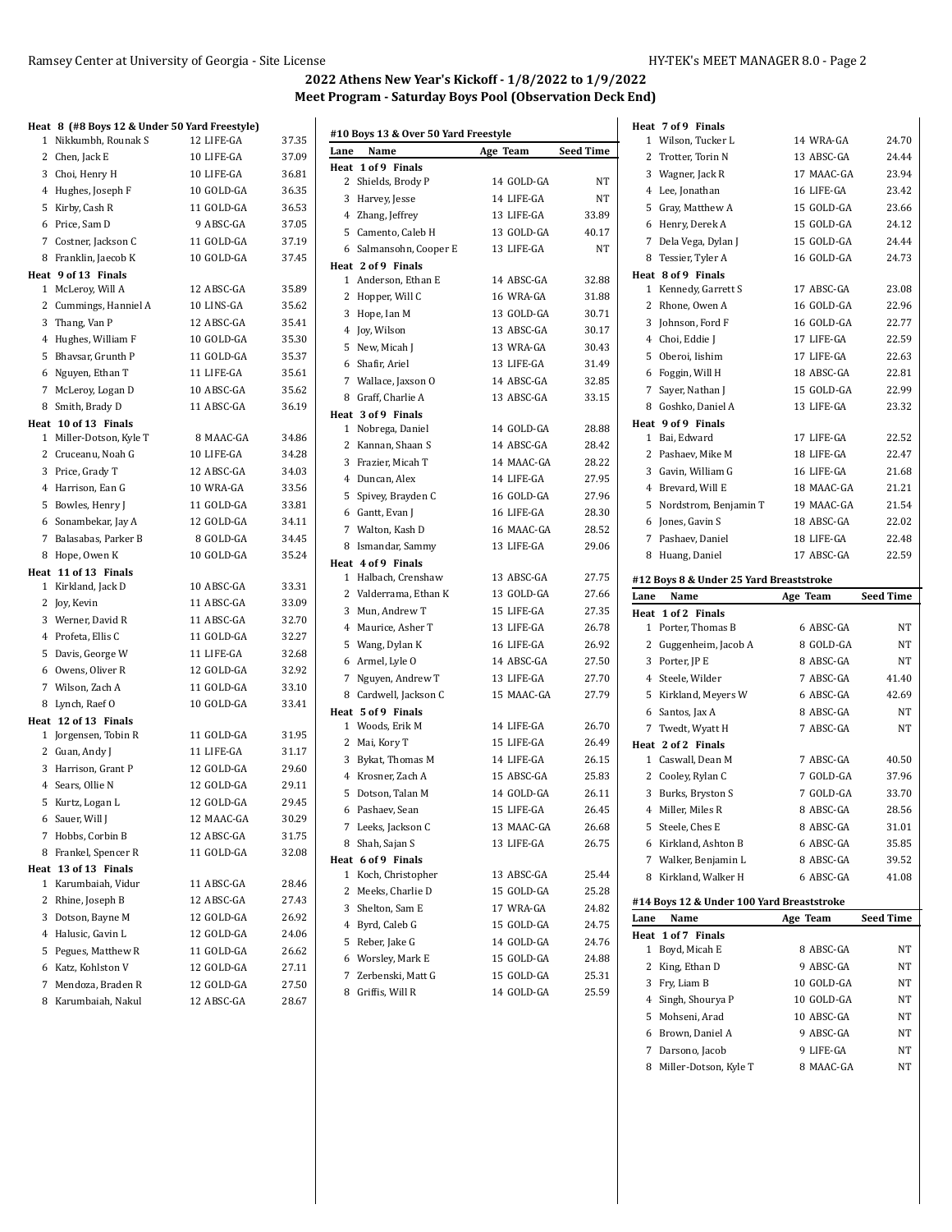Darsono, Jacob 9 LIFE-GA NT 8 Miller-Dotson, Kyle T 8 MAAC-GA NT

# **2022 Athens New Year's Kickoff - 1/8/2022 to 1/9/2022 Meet Program - Saturday Boys Pool (Observation Deck End)**

# **Heat 8 (#8 Boys 12 & Under 50 Yard Freestyle)**

| 1               | Nikkumbh, Rounak S                           | 12 LIFE-GA | 37.35 |
|-----------------|----------------------------------------------|------------|-------|
|                 | 2 Chen, Jack E                               | 10 LIFE-GA | 37.09 |
|                 | 3 Choi, Henry H                              | 10 LIFE-GA | 36.81 |
|                 | 4 Hughes, Joseph F                           | 10 GOLD-GA | 36.35 |
|                 | 5 Kirby, Cash R                              | 11 GOLD-GA | 36.53 |
|                 | 6 Price, Sam D                               | 9 ABSC-GA  | 37.05 |
|                 | 7 Costner, Jackson C                         | 11 GOLD-GA | 37.19 |
|                 | 8 Franklin, Jaecob K                         | 10 GOLD-GA | 37.45 |
|                 | Heat 9 of 13 Finals                          |            |       |
|                 | 1 McLeroy, Will A                            | 12 ABSC-GA | 35.89 |
|                 | 2 Cummings, Hanniel A                        | 10 LINS-GA | 35.62 |
|                 | 3 Thang, Van P                               | 12 ABSC-GA | 35.41 |
|                 | 4 Hughes, William F                          | 10 GOLD-GA | 35.30 |
|                 | 5 Bhavsar, Grunth P                          | 11 GOLD-GA | 35.37 |
|                 | 6 Nguyen, Ethan T                            | 11 LIFE-GA | 35.61 |
|                 | 7 McLeroy, Logan D                           | 10 ABSC-GA | 35.62 |
|                 | 8 Smith, Brady D                             | 11 ABSC-GA | 36.19 |
|                 | Heat 10 of 13 Finals                         |            |       |
|                 | 1 Miller-Dotson, Kyle T                      | 8 MAAC-GA  | 34.86 |
|                 | 2 Cruceanu, Noah G                           | 10 LIFE-GA | 34.28 |
|                 | 3 Price, Grady T                             | 12 ABSC-GA | 34.03 |
|                 | 4 Harrison, Ean G                            | 10 WRA-GA  | 33.56 |
|                 | 5 Bowles, Henry J                            | 11 GOLD-GA | 33.81 |
|                 | 6 Sonambekar, Jay A                          | 12 GOLD-GA | 34.11 |
|                 | 7 Balasabas, Parker B                        | 8 GOLD-GA  | 34.45 |
|                 | 8 Hope, Owen K                               | 10 GOLD-GA | 35.24 |
|                 | Heat 11 of 13 Finals                         |            |       |
|                 | 1 Kirkland, Jack D                           | 10 ABSC-GA | 33.31 |
|                 | 2 Joy, Kevin                                 | 11 ABSC-GA | 33.09 |
|                 | 3 Werner, David R                            | 11 ABSC-GA | 32.70 |
|                 | 4 Profeta, Ellis C                           | 11 GOLD-GA | 32.27 |
|                 | 5 Davis, George W                            | 11 LIFE-GA | 32.68 |
|                 | 6 Owens, Oliver R                            | 12 GOLD-GA | 32.92 |
|                 | 7 Wilson, Zach A                             | 11 GOLD-GA | 33.10 |
|                 | 8 Lynch, Raef O                              | 10 GOLD-GA | 33.41 |
|                 | Heat 12 of 13 Finals<br>1 Jorgensen, Tobin R | 11 GOLD-GA | 31.95 |
|                 | 2 Guan, Andy J                               | 11 LIFE-GA | 31.17 |
|                 | 3 Harrison, Grant P                          | 12 GOLD-GA | 29.60 |
|                 | 4 Sears, Ollie N                             | 12 GOLD-GA | 29.11 |
|                 | 5 Kurtz, Logan L                             | 12 GOLD-GA | 29.45 |
|                 | 6 Sauer, Will J                              | 12 MAAC-GA | 30.29 |
|                 | 7 Hobbs, Corbin B                            | 12 ABSC-GA | 31.75 |
|                 | 8 Frankel, Spencer R                         | 11 GOLD-GA | 32.08 |
| Heat            | 13 of 13 Finals                              |            |       |
| 1               | Karumbaiah, Vidur                            | 11 ABSC-GA | 28.46 |
| 2               | Rhine, Joseph B                              | 12 ABSC-GA | 27.43 |
|                 | 3 Dotson, Bayne M                            | 12 GOLD-GA | 26.92 |
|                 | 4 Halusic, Gavin L                           | 12 GOLD-GA | 24.06 |
|                 | 5 Pegues, Matthew R                          | 11 GOLD-GA | 26.62 |
|                 | 6 Katz, Kohlston V                           | 12 GOLD-GA | 27.11 |
| $7\overline{ }$ | Mendoza, Braden R                            | 12 GOLD-GA | 27.50 |
|                 | 8 Karumbaiah, Nakul                          | 12 ABSC-GA | 28.67 |

|      | #10 Boys 13 & Over 50 Yard Freestyle |            |                  |      | Heat 7 of 9 Finals                        |                          |                        |
|------|--------------------------------------|------------|------------------|------|-------------------------------------------|--------------------------|------------------------|
| Lane | Name                                 | Age Team   | <b>Seed Time</b> |      | 1 Wilson, Tucker L                        | 14 WRA-GA                | 24.70                  |
|      | Heat 1 of 9 Finals                   |            |                  |      | 2 Trotter, Torin N                        | 13 ABSC-GA               | 24.44                  |
|      | 2 Shields, Brody P                   | 14 GOLD-GA | NT               |      | 3 Wagner, Jack R                          | 17 MAAC-GA               | 23.94                  |
|      | 3 Harvey, Jesse                      | 14 LIFE-GA | NΤ               |      | 4 Lee, Jonathan                           | 16 LIFE-GA               | 23.42                  |
|      | 4 Zhang, Jeffrey                     | 13 LIFE-GA | 33.89            |      | 5 Gray, Matthew A                         | 15 GOLD-GA               | 23.66                  |
|      | 5 Camento, Caleb H                   | 13 GOLD-GA | 40.17            |      | 6 Henry, Derek A                          | 15 GOLD-GA               | 24.12                  |
|      | 6 Salmansohn, Cooper E               | 13 LIFE-GA | NT               |      | 7 Dela Vega, Dylan J                      | 15 GOLD-GA               | 24.44                  |
|      | Heat 2 of 9 Finals                   |            |                  |      | 8 Tessier, Tyler A                        | 16 GOLD-GA               | 24.73                  |
|      | 1 Anderson, Ethan E                  | 14 ABSC-GA | 32.88            |      | Heat 8 of 9 Finals                        |                          |                        |
|      | 2 Hopper, Will C                     | 16 WRA-GA  | 31.88            |      | 1 Kennedy, Garrett S                      | 17 ABSC-GA               | 23.08                  |
|      | 3 Hope, Ian M                        | 13 GOLD-GA | 30.71            |      | 2 Rhone, Owen A                           | 16 GOLD-GA               | 22.96                  |
|      | 4 Joy, Wilson                        | 13 ABSC-GA | 30.17            |      | 3 Johnson, Ford F                         | 16 GOLD-GA               | 22.77                  |
|      | 5 New, Micah J                       | 13 WRA-GA  | 30.43            |      | 4 Choi, Eddie J                           | 17 LIFE-GA               | 22.59                  |
|      | 6 Shafir, Ariel                      | 13 LIFE-GA | 31.49            |      | 5 Oberoi, Iishim                          | 17 LIFE-GA               | 22.63                  |
|      | 7 Wallace, Jaxson O                  | 14 ABSC-GA | 32.85            |      | 6 Foggin, Will H                          | 18 ABSC-GA               | 22.81                  |
|      | 8 Graff, Charlie A                   | 13 ABSC-GA | 33.15            |      | 7 Sayer, Nathan J                         | 15 GOLD-GA               | 22.99                  |
|      | Heat 3 of 9 Finals                   |            |                  |      | 8 Goshko, Daniel A                        | 13 LIFE-GA               | 23.32                  |
|      | 1 Nobrega, Daniel                    | 14 GOLD-GA | 28.88            |      | Heat 9 of 9 Finals                        |                          |                        |
|      | 2 Kannan, Shaan S                    | 14 ABSC-GA | 28.42            |      | 1 Bai, Edward                             | 17 LIFE-GA               | 22.52<br>22.47         |
|      | 3 Frazier, Micah T                   | 14 MAAC-GA | 28.22            |      | 2 Pashaev, Mike M                         | 18 LIFE-GA               |                        |
|      | 4 Duncan, Alex                       | 14 LIFE-GA | 27.95            |      | 3 Gavin, William G                        | 16 LIFE-GA               | 21.68                  |
|      | 5 Spivey, Brayden C                  | 16 GOLD-GA | 27.96            |      | 4 Brevard, Will E                         | 18 MAAC-GA               | 21.21                  |
|      | 6 Gantt, Evan J                      | 16 LIFE-GA | 28.30            |      | 5 Nordstrom, Benjamin T                   | 19 MAAC-GA               | 21.54                  |
|      | 7 Walton, Kash D                     | 16 MAAC-GA | 28.52            |      | 6 Jones, Gavin S                          | 18 ABSC-GA               | 22.02                  |
|      | 8 Ismandar, Sammy                    | 13 LIFE-GA | 29.06            |      | 7 Pashaev, Daniel                         | 18 LIFE-GA               | 22.48                  |
|      | Heat 4 of 9 Finals                   |            |                  |      | 8 Huang, Daniel                           | 17 ABSC-GA               | 22.59                  |
|      | 1 Halbach, Crenshaw                  | 13 ABSC-GA | 27.75            |      | #12 Boys 8 & Under 25 Yard Breaststroke   |                          |                        |
|      |                                      |            |                  |      |                                           |                          |                        |
|      | 2 Valderrama, Ethan K                | 13 GOLD-GA | 27.66            | Lane | Name                                      | Age Team                 | <b>Seed Time</b>       |
|      | 3 Mun, Andrew T                      | 15 LIFE-GA | 27.35            |      | Heat 1 of 2 Finals                        |                          |                        |
|      | 4 Maurice, Asher T                   | 13 LIFE-GA | 26.78            |      | 1 Porter, Thomas B                        | 6 ABSC-GA                | NT                     |
|      | 5 Wang, Dylan K                      | 16 LIFE-GA | 26.92            |      | 2 Guggenheim, Jacob A                     | 8 GOLD-GA                | NT                     |
|      | 6 Armel, Lyle O                      | 14 ABSC-GA | 27.50            |      | 3 Porter, JP E                            | 8 ABSC-GA                | NT                     |
|      | 7 Nguyen, Andrew T                   | 13 LIFE-GA | 27.70            |      | 4 Steele, Wilder                          | 7 ABSC-GA                | 41.40                  |
|      | 8 Cardwell, Jackson C                | 15 MAAC-GA | 27.79            |      | 5 Kirkland, Meyers W                      | 6 ABSC-GA                | 42.69                  |
|      | Heat 5 of 9 Finals                   |            |                  |      | 6 Santos, Jax A                           | 8 ABSC-GA                | NΤ                     |
|      | 1 Woods, Erik M                      | 14 LIFE-GA | 26.70            |      | 7 Twedt, Wyatt H                          | 7 ABSC-GA                | NT                     |
|      | 2 Mai, Kory T                        | 15 LIFE-GA | 26.49            |      | Heat 2 of 2 Finals                        |                          |                        |
|      | 3 Bykat, Thomas M                    | 14 LIFE-GA | 26.15            |      | 1 Caswall, Dean M                         | 7 ABSC-GA                | 40.50                  |
|      | 4 Krosner, Zach A                    | 15 ABSC-GA | 25.83            |      | 2 Cooley, Rylan C                         | 7 GOLD-GA                | 37.96                  |
|      | 5 Dotson, Talan M                    | 14 GOLD-GA | 26.11            |      | 3 Burks, Bryston S                        | 7 GOLD-GA                | 33.70                  |
|      | 6 Pashaev, Sean                      | 15 LIFE-GA | 26.45            |      | 4 Miller, Miles R                         | 8 ABSC-GA                | 28.56                  |
|      | 7 Leeks, Jackson C                   | 13 MAAC-GA | 26.68            |      | 5 Steele, Ches E                          | 8 ABSC-GA                | 31.01                  |
|      | 8 Shah, Sajan S                      | 13 LIFE-GA | 26.75            |      | 6 Kirkland, Ashton B                      | 6 ABSC-GA                | 35.85                  |
|      | Heat 6 of 9 Finals                   |            |                  |      | 7 Walker, Benjamin L                      | 8 ABSC-GA                | 39.52                  |
|      | 1 Koch, Christopher                  | 13 ABSC-GA | 25.44            |      | 8 Kirkland, Walker H                      | 6 ABSC-GA                | 41.08                  |
|      | 2 Meeks, Charlie D                   | 15 GOLD-GA | 25.28            |      |                                           |                          |                        |
|      | 3 Shelton, Sam E                     | 17 WRA-GA  | 24.82            |      | #14 Boys 12 & Under 100 Yard Breaststroke |                          |                        |
|      | 4 Byrd, Caleb G                      | 15 GOLD-GA | 24.75            | Lane | Name                                      | Age Team                 |                        |
|      | 5 Reber, Jake G                      | 14 GOLD-GA | 24.76            |      | Heat 1 of 7 Finals                        |                          |                        |
|      | 6 Worsley, Mark E                    | 15 GOLD-GA | 24.88            |      | 1 Boyd, Micah E                           | 8 ABSC-GA<br>9 ABSC-GA   | NT                     |
|      | 7 Zerbenski, Matt G                  | 15 GOLD-GA | 25.31            |      | 2 King, Ethan D                           |                          | <b>Seed Time</b><br>NΤ |
|      | 8 Griffis, Will R                    | 14 GOLD-GA | 25.59            |      | 3 Fry, Liam B                             | 10 GOLD-GA               | NΤ                     |
|      |                                      |            |                  |      | 4 Singh, Shourya P<br>5 Mohseni, Arad     | 10 GOLD-GA<br>10 ABSC-GA | NΤ<br>NT               |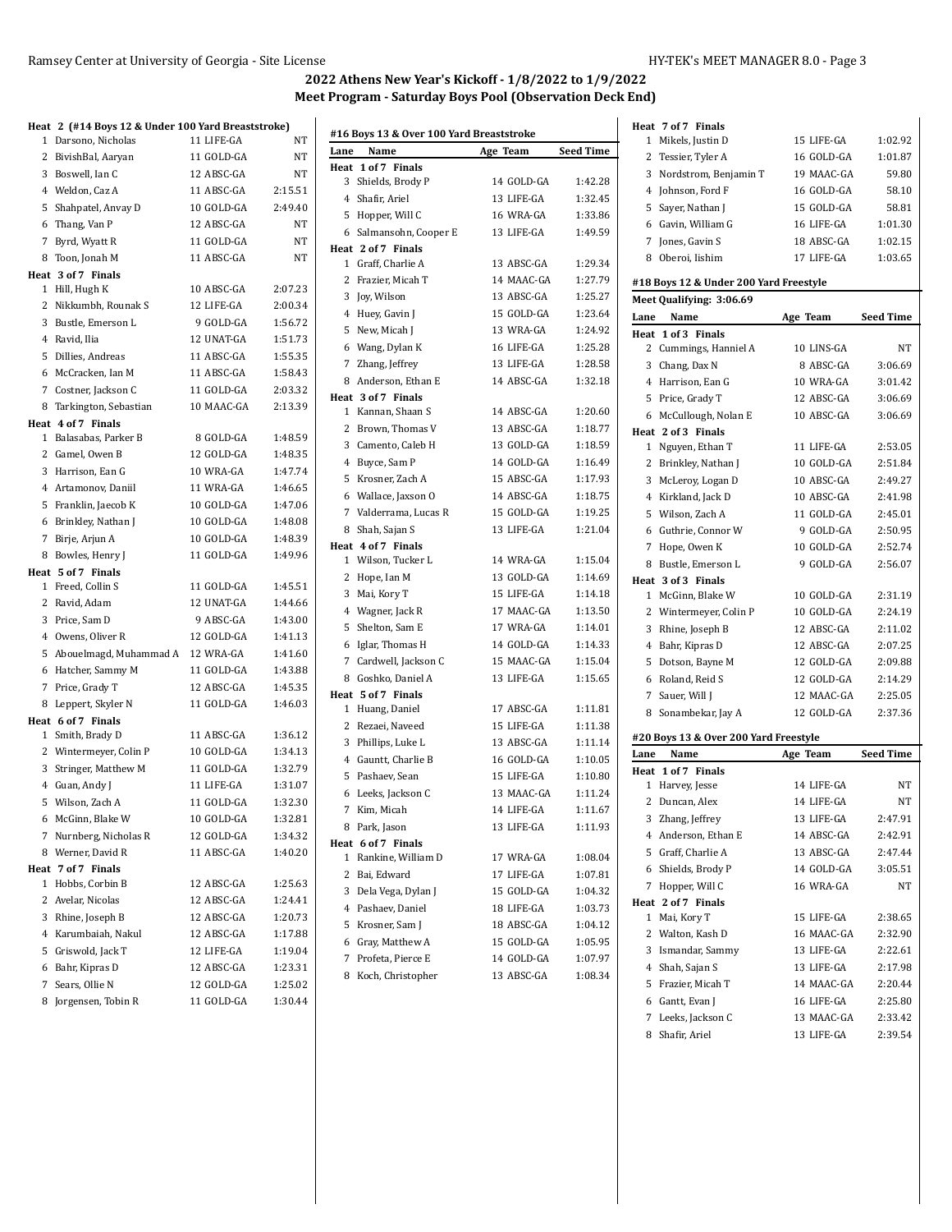# **Heat 2 (#14 Boys 12 & Under 100 Yard Breaststroke)**

| 1            | Darsono, Nicholas                      | 11 LIFE-GA               | NT                 |
|--------------|----------------------------------------|--------------------------|--------------------|
|              | 2 BivishBal, Aaryan                    | 11 GOLD-GA               | NT                 |
|              | 3 Boswell, Ian C                       | 12 ABSC-GA               | NT                 |
|              | 4 Weldon, Caz A                        | 11 ABSC-GA               | 2:15.51            |
|              | 5 Shahpatel, Anvay D                   | 10 GOLD-GA               | 2:49.40            |
|              | 6 Thang, Van P                         | 12 ABSC-GA               | NT                 |
| 7            | Byrd, Wyatt R                          | 11 GOLD-GA               | NΤ                 |
|              | 8 Toon, Jonah M                        | 11 ABSC-GA               | NT                 |
|              | Heat 3 of 7 Finals                     |                          |                    |
|              | 1 Hill, Hugh K                         | 10 ABSC-GA               | 2:07.23            |
|              | 2 Nikkumbh, Rounak S                   | 12 LIFE-GA               | 2:00.34            |
|              | 3 Bustle, Emerson L                    | 9 GOLD-GA                | 1:56.72            |
|              | 4 Ravid, Ilia                          | 12 UNAT-GA               | 1:51.73            |
|              | 5 Dillies, Andreas                     | 11 ABSC-GA               | 1:55.35            |
|              | 6 McCracken, Ian M                     | 11 ABSC-GA               | 1:58.43            |
|              | 7 Costner, Jackson C                   | 11 GOLD-GA               | 2:03.32            |
|              | 8 Tarkington, Sebastian                | 10 MAAC-GA               | 2:13.39            |
|              | Heat 4 of 7 Finals                     |                          |                    |
|              | 1 Balasabas, Parker B                  | 8 GOLD-GA                | 1:48.59            |
|              | 2 Gamel, Owen B                        | 12 GOLD-GA               | 1:48.35            |
|              | 3 Harrison, Ean G                      | 10 WRA-GA                | 1:47.74            |
|              | 4 Artamonov, Daniil                    | 11 WRA-GA                | 1:46.65            |
|              | 5 Franklin, Jaecob K                   | 10 GOLD-GA               | 1:47.06            |
|              | 6 Brinkley, Nathan J                   | 10 GOLD-GA               | 1:48.08            |
|              | 7 Birje, Arjun A                       | 10 GOLD-GA               | 1:48.39            |
| 8            | Bowles, Henry J                        | 11 GOLD-GA               | 1:49.96            |
|              | Heat 5 of 7 Finals                     |                          |                    |
|              | 1 Freed, Collin S                      | 11 GOLD-GA               | 1:45.51            |
|              | 2 Ravid, Adam                          | 12 UNAT-GA               | 1:44.66            |
|              | 3 Price, Sam D                         | 9 ABSC-GA                | 1:43.00            |
|              | 4 Owens, Oliver R                      | 12 GOLD-GA               | 1:41.13            |
|              | 5 Abouelmagd, Muhammad A               | 12 WRA-GA                | 1:41.60            |
|              | 6 Hatcher, Sammy M                     | 11 GOLD-GA               | 1:43.88            |
| 7            |                                        |                          |                    |
|              |                                        | 12 ABSC-GA               |                    |
|              | Price, Grady T                         |                          | 1:45.35            |
| 8            | Leppert, Skyler N                      | 11 GOLD-GA               | 1:46.03            |
|              | Heat 6 of 7 Finals<br>1 Smith, Brady D | 11 ABSC-GA               | 1:36.12            |
|              | 2 Wintermeyer, Colin P                 | 10 GOLD-GA               | 1:34.13            |
|              | 3 Stringer, Matthew M                  | 11 GOLD-GA               | 1:32.79            |
|              |                                        | 11 LIFE-GA               | 1:31.07            |
|              | 4 Guan, Andy J                         | 11 GOLD-GA               | 1:32.30            |
| 6            | 5 Wilson, Zach A<br>McGinn, Blake W    | 10 GOLD-GA               | 1:32.81            |
|              |                                        |                          |                    |
| 7            | Nurnberg, Nicholas R                   | 12 GOLD-GA               | 1:34.32            |
| 8            | Werner, David R                        | 11 ABSC-GA               | 1:40.20            |
| $\mathbf{1}$ | Heat 7 of 7 Finals<br>Hobbs, Corbin B  | 12 ABSC-GA               | 1:25.63            |
| 2            |                                        | 12 ABSC-GA               | 1:24.41            |
|              | Avelar, Nicolas                        | 12 ABSC-GA               | 1:20.73            |
|              | 3 Rhine, Joseph B                      | 12 ABSC-GA               | 1:17.88            |
|              | 4 Karumbaiah, Nakul                    |                          |                    |
|              | 5 Griswold, Jack T                     | 12 LIFE-GA               | 1:19.04            |
| 6            | Bahr, Kipras D                         | 12 ABSC-GA               | 1:23.31            |
| 7<br>8       | Sears, Ollie N<br>Jorgensen, Tobin R   | 12 GOLD-GA<br>11 GOLD-GA | 1:25.02<br>1:30.44 |

|              | #16 Boys 13 & Over 100 Yard Breaststroke |            |                  |
|--------------|------------------------------------------|------------|------------------|
| Lane         | Name                                     | Age Team   | <b>Seed Time</b> |
|              | Heat 1 of 7 Finals                       |            |                  |
| 3            | Shields, Brody P                         | 14 GOLD-GA | 1:42.28          |
|              | 4 Shafir, Ariel                          | 13 LIFE-GA | 1:32.45          |
| 5            | Hopper, Will C                           | 16 WRA-GA  | 1:33.86          |
| 6            | Salmansohn, Cooper E                     | 13 LIFE-GA | 1:49.59          |
|              | Heat 2 of 7 Finals                       |            |                  |
|              | 1 Graff, Charlie A                       | 13 ABSC-GA | 1:29.34          |
| 2            | Frazier, Micah T                         | 14 MAAC-GA | 1:27.79          |
| 3            | Joy, Wilson                              | 13 ABSC-GA | 1:25.27          |
| 4            | Huey, Gavin J                            | 15 GOLD-GA | 1:23.64          |
| 5            | New, Micah J                             | 13 WRA-GA  | 1:24.92          |
| 6            | Wang, Dylan K                            | 16 LIFE-GA | 1:25.28          |
| 7            | Zhang, Jeffrey                           | 13 LIFE-GA | 1:28.58          |
|              | 8 Anderson, Ethan E                      | 14 ABSC-GA | 1:32.18          |
|              | Heat 3 of 7 Finals                       |            |                  |
|              | 1 Kannan, Shaan S                        | 14 ABSC-GA | 1:20.60          |
| 2            | Brown, Thomas V                          | 13 ABSC-GA | 1:18.77          |
|              | 3 Camento, Caleb H                       | 13 GOLD-GA | 1:18.59          |
| 4            | Buyce, Sam P                             | 14 GOLD-GA | 1:16.49          |
| 5            | Krosner, Zach A                          | 15 ABSC-GA | 1:17.93          |
| 6            | Wallace, Jaxson O                        | 14 ABSC-GA | 1:18.75          |
|              | 7 Valderrama, Lucas R                    | 15 GOLD-GA | 1:19.25          |
| 8            | Shah, Sajan S                            | 13 LIFE-GA | 1:21.04          |
|              | Heat 4 of 7 Finals                       |            |                  |
|              | 1 Wilson. Tucker L                       | 14 WRA-GA  | 1:15.04          |
| 2            | Hope, Ian M                              | 13 GOLD-GA | 1:14.69          |
| 3            | Mai, Kory T                              | 15 LIFE-GA | 1:14.18          |
| 4            | Wagner, Jack R                           | 17 MAAC-GA | 1:13.50          |
| 5            | Shelton, Sam E                           | 17 WRA-GA  | 1:14.01          |
| 6            | Iglar, Thomas H                          | 14 GOLD-GA | 1:14.33          |
| 7            | Cardwell, Jackson C                      | 15 MAAC-GA | 1:15.04          |
| 8            | Goshko, Daniel A                         | 13 LIFE-GA | 1:15.65          |
|              | Heat 5 of 7 Finals                       |            |                  |
| $\mathbf{1}$ | Huang, Daniel                            | 17 ABSC-GA | 1:11.81          |
| 2            | Rezaei, Naveed                           | 15 LIFE-GA | 1:11.38          |
| 3            | Phillips, Luke L                         | 13 ABSC-GA | 1:11.14          |
| 4            | Gauntt, Charlie B                        | 16 GOLD-GA | 1:10.05          |
| 5            | Pashaev, Sean                            | 15 LIFE-GA | 1:10.80          |
| 6            | Leeks, Jackson C                         | 13 MAAC-GA | 1:11.24          |
| 7            | Kim, Micah                               | 14 LIFE-GA | 1:11.67          |
|              | 8   Park, Jason                          | 13 LIFE-GA | 1:11.93          |
|              | Heat 6 of 7 Finals                       |            |                  |
| 1            | Rankine, William D                       | 17 WRA-GA  | 1:08.04          |
| 2            | Bai, Edward                              | 17 LIFE-GA | 1:07.81          |
| 3            | Dela Vega, Dylan J                       | 15 GOLD-GA | 1:04.32          |
|              | 4 Pashaev, Daniel                        | 18 LIFE-GA | 1:03.73          |
| 5            | Krosner, Sam J                           | 18 ABSC-GA | 1:04.12          |
| 6            | Gray, Matthew A                          | 15 GOLD-GA | 1:05.95          |
|              | 7 Profeta, Pierce E                      | 14 GOLD-GA | 1:07.97          |
|              | 8 Koch, Christopher                      | 13 ABSC-GA | 1:08.34          |

|              | Heat 7 of 7 Finals                       |                           |                    |
|--------------|------------------------------------------|---------------------------|--------------------|
| 1            | Mikels, Justin D                         | 15 LIFE-GA                | 1:02.92            |
| $\mathbf{2}$ | Tessier, Tyler A                         | 16 GOLD-GA                | 1:01.87            |
| 3            | Nordstrom, Benjamin T                    | 19 MAAC-GA                | 59.80              |
|              | 4 Johnson, Ford F                        | 16 GOLD-GA                | 58.10              |
| 5            | Sayer, Nathan J                          | 15 GOLD-GA                | 58.81              |
| 6            | Gavin, William G                         | 16 LIFE-GA                | 1:01.30            |
| $7^{\circ}$  | Jones, Gavin S                           | 18 ABSC-GA                | 1:02.15            |
| 8            | Oberoi, Iishim                           | 17 LIFE-GA                | 1:03.65            |
|              |                                          |                           |                    |
|              | #18 Boys 12 & Under 200 Yard Freestyle   |                           |                    |
|              | Meet Qualifying: 3:06.69                 |                           |                    |
| Lane         | Name                                     | Age Team                  | <b>Seed Time</b>   |
|              | Heat 1 of 3 Finals                       |                           |                    |
| 2            | Cummings, Hanniel A                      | 10 LINS-GA                | NT                 |
| 3            | Chang, Dax N                             | 8 ABSC-GA                 | 3:06.69            |
|              | 4 Harrison, Ean G                        | 10 WRA-GA                 | 3:01.42            |
|              | 5 Price, Grady T                         | 12 ABSC-GA                | 3:06.69            |
| 6            | McCullough, Nolan E                      | 10 ABSC-GA                | 3:06.69            |
|              | Heat 2 of 3 Finals                       | 11 LIFE-GA                | 2:53.05            |
| 1            | Nguyen, Ethan T                          | 10 GOLD-GA                |                    |
| $\mathbf{2}$ | Brinkley, Nathan J                       | 10 ABSC-GA                | 2:51.84<br>2:49.27 |
|              | 3 McLeroy, Logan D<br>4 Kirkland, Jack D | 10 ABSC-GA                | 2:41.98            |
|              | 5 Wilson. Zach A                         |                           |                    |
|              |                                          | 11 GOLD-GA<br>$9$ GOLD-GA | 2:45.01            |
| 6            | Guthrie, Connor W                        |                           | 2:50.95            |
| 7            | Hope, Owen K                             | 10 GOLD-GA                | 2:52.74            |
|              | 8 Bustle, Emerson L                      | 9 GOLD-GA                 | 2:56.07            |
| $\mathbf 1$  | Heat 3 of 3 Finals<br>McGinn, Blake W    | 10 GOLD-GA                | 2:31.19            |
|              | 2 Wintermeyer, Colin P                   | 10 GOLD-GA                | 2:24.19            |
| 3            | Rhine, Joseph B                          | 12 ABSC-GA                | 2:11.02            |
| 4            | Bahr, Kipras D                           | 12 ABSC-GA                | 2:07.25            |
| 5            | Dotson, Bayne M                          | 12 GOLD-GA                | 2:09.88            |
| 6            | Roland, Reid S                           | 12 GOLD-GA                | 2:14.29            |
|              | 7 Sauer, Will J                          | 12 MAAC-GA                | 2:25.05            |
| 8            | Sonambekar, Jay A                        | 12 GOLD-GA                | 2:37.36            |
|              |                                          |                           |                    |
|              | #20 Boys 13 & Over 200 Yard Freestyle    |                           |                    |
| Lane         | Name                                     | Age Team                  | <b>Seed Time</b>   |
|              | Heat 1 of 7 Finals                       |                           |                    |
| 1            | Harvey, Jesse                            | 14 LIFE-GA                | NT                 |
| 2            | Duncan, Alex                             | 14 LIFE-GA                | NT                 |
|              | 3 Zhang, Jeffrey                         | 13 LIFE-GA                | 2:47.91            |
|              | 4 Anderson, Ethan E                      | 14 ABSC-GA                | 2:42.91            |
|              | 5 Graff, Charlie A                       | 13 ABSC-GA                | 2:47.44            |
|              | 6 Shields, Brody P                       | 14 GOLD-GA                | 3:05.51            |
| 7            | Hopper, Will C                           | 16 WRA-GA                 | <b>NT</b>          |
|              | Heat 2 of 7 Finals                       |                           |                    |
| 1            | Mai, Kory T                              | 15 LIFE-GA                | 2:38.65            |
| 2            | Walton, Kash D                           | 16 MAAC-GA                | 2:32.90            |
| 3            | Ismandar, Sammy                          | 13 LIFE-GA                | 2:22.61            |
|              | 4 Shah, Sajan S                          | 13 LIFE-GA                | 2:17.98            |
|              | 5 Frazier, Micah T                       | 14 MAAC-GA                | 2:20.44            |
|              | 6 Gantt, Evan J                          | 16 LIFE-GA                | 2:25.80            |
| 7            |                                          | 13 MAAC-GA                | 2:33.42            |
|              | Leeks, Jackson C<br>8 Shafir, Ariel      | 13 LIFE-GA                | 2:39.54            |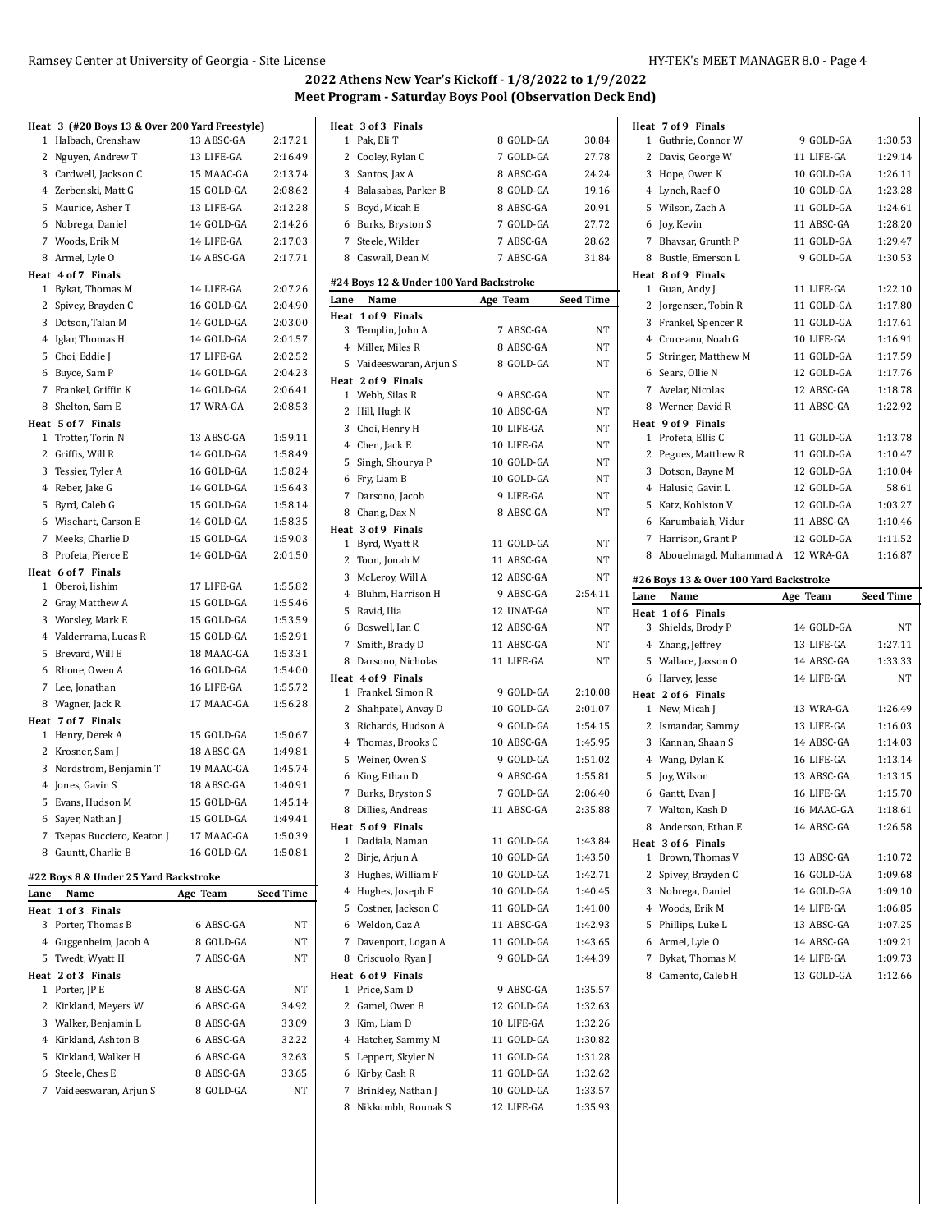|                | Heat 3 (#20 Boys 13 & Over 200 Yard Freestyle) |            |                  |
|----------------|------------------------------------------------|------------|------------------|
| 1              | Halbach, Crenshaw                              | 13 ABSC-GA | 2:17.21          |
| 2              | Nguyen, Andrew T                               | 13 LIFE-GA | 2:16.49          |
| 3              | Cardwell, Jackson C                            | 15 MAAC-GA | 2:13.74          |
| $\overline{4}$ | Zerbenski, Matt G                              | 15 GOLD-GA | 2:08.62          |
| 5              | Maurice, Asher T                               | 13 LIFE-GA | 2:12.28          |
| 6              | Nobrega, Daniel                                | 14 GOLD-GA | 2:14.26          |
|                | 7 Woods, Erik M                                | 14 LIFE-GA | 2:17.03          |
| 8              | Armel, Lyle O                                  | 14 ABSC-GA | 2:17.71          |
|                | Heat 4 of 7 Finals                             |            |                  |
| 1              | Bykat, Thomas M                                | 14 LIFE-GA | 2:07.26          |
| 2              | Spivey, Brayden C                              | 16 GOLD-GA | 2:04.90          |
| 3              | Dotson, Talan M                                | 14 GOLD-GA | 2:03.00          |
|                |                                                | 14 GOLD-GA | 2:01.57          |
| $\overline{4}$ | Iglar, Thomas H                                |            |                  |
| 5              | Choi, Eddie J                                  | 17 LIFE-GA | 2:02.52          |
| 6              | Buyce, Sam P                                   | 14 GOLD-GA | 2:04.23          |
| $\overline{7}$ | Frankel, Griffin K                             | 14 GOLD-GA | 2:06.41          |
| 8              | Shelton, Sam E                                 | 17 WRA-GA  | 2:08.53          |
|                | Heat 5 of 7 Finals                             |            |                  |
| 1              | Trotter, Torin N                               | 13 ABSC-GA | 1:59.11          |
| 2              | Griffis, Will R                                | 14 GOLD-GA | 1:58.49          |
| 3              | Tessier, Tyler A                               | 16 GOLD-GA | 1:58.24          |
| $\overline{4}$ | Reber, Jake G                                  | 14 GOLD-GA | 1:56.43          |
| 5              | Byrd, Caleb G                                  | 15 GOLD-GA | 1:58.14          |
| 6              | Wisehart, Carson E                             | 14 GOLD-GA | 1:58.35          |
| 7              | Meeks, Charlie D                               | 15 GOLD-GA | 1:59.03          |
| 8              | Profeta, Pierce E                              | 14 GOLD-GA | 2:01.50          |
|                | Heat 6 of 7 Finals                             |            |                  |
| 1              | Oberoi, Iishim                                 | 17 LIFE-GA | 1:55.82          |
| 2              | Gray, Matthew A                                | 15 GOLD-GA | 1:55.46          |
| 3              | Worsley, Mark E                                | 15 GOLD-GA | 1:53.59          |
|                | 4 Valderrama, Lucas R                          | 15 GOLD-GA | 1:52.91          |
| 5              | Brevard, Will E                                | 18 MAAC-GA | 1:53.31          |
| 6              | Rhone, Owen A                                  | 16 GOLD-GA | 1:54.00          |
| 7              | Lee, Jonathan                                  | 16 LIFE-GA | 1:55.72          |
| 8              | Wagner, Jack R                                 | 17 MAAC-GA | 1:56.28          |
|                | Heat 7 of 7 Finals                             |            |                  |
|                | 1 Henry, Derek A                               | 15 GOLD-GA | 1:50.67          |
| $\mathbf{2}$   | Krosner, Sam J                                 | 18 ABSC-GA | 1:49.81          |
| 3              | Nordstrom, Benjamin T                          | 19 MAAC-GA | 1:45.74          |
| $^{4}$         | Jones, Gavin S                                 | 18 ABSC-GA | 1:40.91          |
| 5              | Evans, Hudson M                                | 15 GOLD-GA | 1:45.14          |
|                |                                                |            |                  |
|                | 6 Sayer, Nathan J                              | 15 GOLD-GA | 1:49.41          |
|                | 7 Tsepas Bucciero, Keaton J                    | 17 MAAC-GA | 1:50.39          |
|                | 8 Gauntt, Charlie B                            | 16 GOLD-GA | 1:50.81          |
|                | #22 Boys 8 & Under 25 Yard Backstroke          |            |                  |
| Lane           | Name                                           | Age Team   | <b>Seed Time</b> |
| Heat           | 1 of 3 Finals                                  |            |                  |
| 3              | Porter, Thomas B                               | 6 ABSC-GA  | NT               |
|                | 4 Guggenheim, Jacob A                          | 8 GOLD-GA  | NΤ               |
|                | 5 Twedt, Wyatt H                               | 7 ABSC-GA  | NΤ               |
|                | Heat 2 of 3 Finals                             |            |                  |
|                | 1 Porter, JP E                                 | 8 ABSC-GA  | NΤ               |
|                | 2 Kirkland, Meyers W                           | 6 ABSC-GA  | 34.92            |
|                | 3 Walker, Benjamin L                           | 8 ABSC-GA  | 33.09            |
|                | 4 Kirkland, Ashton B                           | 6 ABSC-GA  | 32.22            |
| 5              | Kirkland, Walker H                             | 6 ABSC-GA  | 32.63            |
|                | 6 Steele, Ches E                               | 8 ABSC-GA  | 33.65            |

7 Vaideeswaran, Arjun S 8 GOLD-GA NT

|      | Heat 3 of 3 Finals                              |            |           |
|------|-------------------------------------------------|------------|-----------|
| 1    | Pak, Eli T                                      | 8 GOLD-GA  | 30.84     |
| 2    | Cooley, Rylan C                                 | 7 GOLD-GA  | 27.78     |
| 3    | Santos, Jax A                                   | 8 ABSC-GA  | 24.24     |
| 4    | Balasabas, Parker B                             | 8 GOLD-GA  | 19.16     |
| 5    | Boyd, Micah E                                   | 8 ABSC-GA  | 20.91     |
| 6    | Burks, Bryston S                                | 7 GOLD-GA  | 27.72     |
| 7    | Steele, Wilder                                  | 7 ABSC-GA  | 28.62     |
| 8    | Caswall, Dean M                                 | 7 ABSC-GA  | 31.84     |
|      |                                                 |            |           |
| Lane | #24 Boys 12 & Under 100 Yard Backstroke<br>Name | Age Team   | Seed Time |
|      | Heat 1 of 9 Finals                              |            |           |
| 3    | Templin, John A                                 | 7 ABSC-GA  | NΤ        |
| 4    | Miller, Miles R                                 | 8 ABSC-GA  | NT        |
| 5    | Vaideeswaran, Arjun S                           | 8 GOLD-GA  | NT        |
|      | Heat 2 of 9 Finals                              |            |           |
|      | 1 Webb, Silas R                                 | 9 ABSC-GA  | NΤ        |
| 2    | Hill, Hugh K                                    | 10 ABSC-GA | NΤ        |
| 3    | Choi, Henry H                                   | 10 LIFE-GA | NΤ        |
|      | 4 Chen, Jack E                                  | 10 LIFE-GA | NΤ        |
| 5    |                                                 | 10 GOLD-GA | NΤ        |
|      | Singh, Shourya P                                |            |           |
| 6    | Fry, Liam B                                     | 10 GOLD-GA | NT        |
| 7    | Darsono, Jacob                                  | 9 LIFE-GA  | NΤ        |
| 8    | Chang, Dax N                                    | 8 ABSC-GA  | NΤ        |
|      | Heat 3 of 9 Finals                              |            |           |
| 1    | Byrd, Wyatt R                                   | 11 GOLD-GA | NT        |
| 2    | Toon, Jonah M                                   | 11 ABSC-GA | NΤ        |
| 3    | McLeroy, Will A                                 | 12 ABSC-GA | NΤ        |
| 4    | Bluhm, Harrison H                               | 9 ABSC-GA  | 2:54.11   |
| 5    | Ravid, Ilia                                     | 12 UNAT-GA | NT        |
| 6    | Boswell, Ian C                                  | 12 ABSC-GA | NΤ        |
| 7    | Smith, Brady D                                  | 11 ABSC-GA | NΤ        |
| 8    | Darsono, Nicholas                               | 11 LIFE-GA | NΤ        |
|      | Heat 4 of 9 Finals                              |            |           |
| 1    | Frankel, Simon R                                | 9 GOLD-GA  | 2:10.08   |
| 2    | Shahpatel, Anvay D                              | 10 GOLD-GA | 2:01.07   |
| 3    | Richards, Hudson A                              | 9 GOLD-GA  | 1:54.15   |
| 4    | Thomas, Brooks C                                | 10 ABSC-GA | 1:45.95   |
| 5    | Weiner, Owen S                                  | 9 GOLD-GA  | 1:51.02   |
| 6    | King, Ethan D                                   | 9 ABSC-GA  | 1:55.81   |
| 7    | Burks, Bryston S                                | 7 GOLD-GA  | 2:06.40   |
| 8    | Dillies, Andreas                                | 11 ABSC-GA | 2:35.88   |
|      | Heat 5 of 9 Finals                              |            |           |
| 1    | Dadiala, Naman                                  | 11 GOLD-GA | 1:43.84   |
| 2    | Birje, Arjun A                                  | 10 GOLD-GA | 1:43.50   |
| 3    | Hughes, William F                               | 10 GOLD-GA | 1:42.71   |
| 4    | Hughes, Joseph F                                | 10 GOLD-GA | 1:40.45   |
| 5    | Costner, Jackson C                              | 11 GOLD-GA | 1:41.00   |
| 6    | Weldon, Caz A                                   | 11 ABSC-GA | 1:42.93   |
| 7    | Davenport, Logan A                              | 11 GOLD-GA | 1:43.65   |
| 8    | Criscuolo, Ryan J                               | 9 GOLD-GA  | 1:44.39   |
|      | Heat 6 of 9 Finals                              |            |           |
| 1    | Price, Sam D                                    | 9 ABSC-GA  | 1:35.57   |
| 2    | Gamel, Owen B                                   | 12 GOLD-GA | 1:32.63   |
| 3    | Kim, Liam D                                     | 10 LIFE-GA | 1:32.26   |
| 4    | Hatcher, Sammy M                                | 11 GOLD-GA | 1:30.82   |
|      |                                                 |            |           |
| 5    | Leppert, Skyler N                               | 11 GOLD-GA | 1:31.28   |
| 6    | Kirby, Cash R                                   | 11 GOLD-GA | 1:32.62   |
| 7    | Brinkley, Nathan J                              | 10 GOLD-GA | 1:33.57   |
| 8    | Nikkumbh, Rounak S                              | 12 LIFE-GA | 1:35.93   |

|              | Heat 7 of 9 Finals                     |            |                  |
|--------------|----------------------------------------|------------|------------------|
| 1            | Guthrie, Connor W                      | 9 GOLD-GA  | 1:30.53          |
| 2            | Davis, George W                        | 11 LIFE-GA | 1:29.14          |
| 3            | Hope, Owen K                           | 10 GOLD-GA | 1:26.11          |
|              | 4 Lynch, Raef O                        | 10 GOLD-GA | 1:23.28          |
|              | 5 Wilson, Zach A                       | 11 GOLD-GA | 1:24.61          |
| 6            | Joy, Kevin                             | 11 ABSC-GA | 1:28.20          |
| 7            | Bhavsar, Grunth P                      | 11 GOLD-GA | 1:29.47          |
| 8            | Bustle, Emerson L                      | 9 GOLD-GA  | 1:30.53          |
|              | Heat 8 of 9 Finals                     |            |                  |
| 1            | Guan, Andy J                           | 11 LIFE-GA | 1:22.10          |
| 2            | Jorgensen, Tobin R                     | 11 GOLD-GA | 1:17.80          |
| 3            | Frankel, Spencer R                     | 11 GOLD-GA | 1:17.61          |
|              | 4 Cruceanu, Noah G                     | 10 LIFE-GA | 1:16.91          |
| 5            | Stringer, Matthew M                    | 11 GOLD-GA | 1:17.59          |
| 6            | Sears, Ollie N                         | 12 GOLD-GA | 1:17.76          |
| 7            | Avelar, Nicolas                        | 12 ABSC-GA | 1:18.78          |
|              | 8 Werner, David R                      | 11 ABSC-GA | 1:22.92          |
|              | Heat 9 of 9 Finals                     |            |                  |
| 1            | Profeta, Ellis C                       | 11 GOLD-GA | 1:13.78          |
| 2            | Pegues, Matthew R                      | 11 GOLD-GA | 1:10.47          |
| 3            | Dotson, Bayne M                        | 12 GOLD-GA | 1:10.04          |
| 4            | Halusic, Gavin L                       | 12 GOLD-GA | 58.61            |
| 5            | Katz, Kohlston V                       | 12 GOLD-GA | 1:03.27          |
| 6            | Karumbaiah, Vidur                      | 11 ABSC-GA | 1:10.46          |
| 7            | Harrison, Grant P                      | 12 GOLD-GA | 1:11.52          |
|              |                                        |            |                  |
| 8            | Abouelmagd, Muhammad A 12 WRA-GA       |            | 1:16.87          |
|              |                                        |            |                  |
|              | #26 Boys 13 & Over 100 Yard Backstroke |            |                  |
| Lane         | Name                                   | Age Team   | <b>Seed Time</b> |
| Heat<br>3    | 1 of 6 Finals                          | 14 GOLD-GA | NT               |
|              | Shields, Brody P                       | 13 LIFE-GA | 1:27.11          |
|              | 4 Zhang, Jeffrey                       |            |                  |
|              | 5 Wallace, Jaxson O                    | 14 ABSC-GA | 1:33.33          |
| 6            | Harvey, Jesse                          | 14 LIFE-GA | NΤ               |
| 1            | Heat 2 of 6 Finals<br>New, Micah J     | 13 WRA-GA  | 1:26.49          |
| $\mathbf{2}$ | Ismandar, Sammy                        | 13 LIFE-GA | 1:16.03          |
|              | 3 Kannan, Shaan S                      | 14 ABSC-GA | 1:14.03          |
|              | 4 Wang, Dylan K                        | 16 LIFE-GA | 1:13.14          |
| 5            | Joy, Wilson                            | 13 ABSC-GA | 1:13.15          |
| 6            | Gantt, Evan J                          | 16 LIFE-GA | 1:15.70          |
| 7            | Walton, Kash D                         | 16 MAAC-GA | 1:18.61          |
| 8.           | Anderson, Ethan E                      | 14 ABSC-GA | 1:26.58          |
|              | Heat 3 of 6 Finals                     |            |                  |
| 1            | Brown, Thomas V                        | 13 ABSC-GA | 1:10.72          |
| 2            | Spivey, Brayden C                      | 16 GOLD-GA | 1:09.68          |
| 3            | Nobrega, Daniel                        | 14 GOLD-GA | 1:09.10          |
| 4            | Woods, Erik M                          | 14 LIFE-GA | 1:06.85          |
| 5            | Phillips, Luke L                       | 13 ABSC-GA | 1:07.25          |
| 6            | Armel, Lyle O                          | 14 ABSC-GA | 1:09.21          |
| 7            | Bykat, Thomas M                        | 14 LIFE-GA | 1:09.73          |
| 8            | Camento, Caleb H                       | 13 GOLD-GA | 1:12.66          |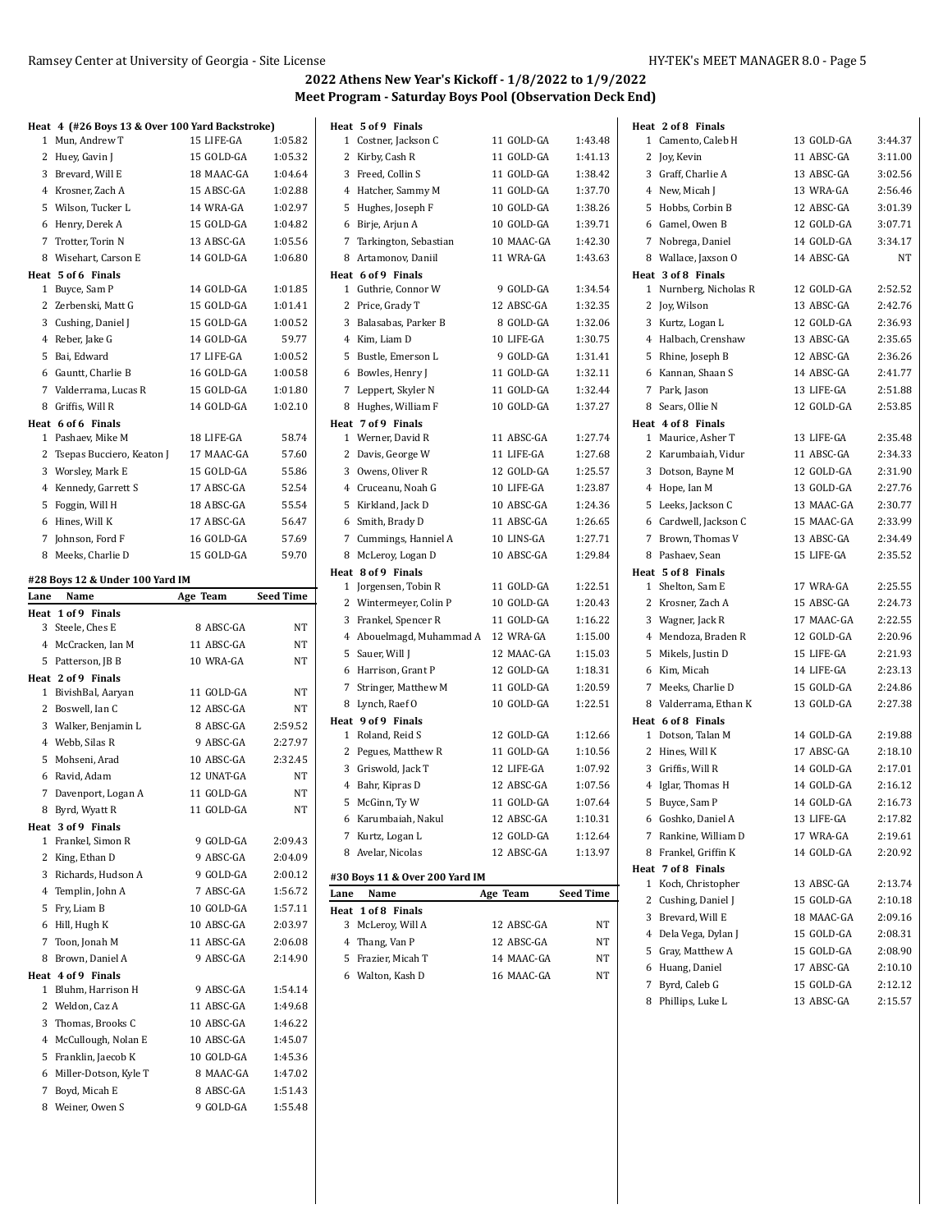|      | Heat 4 (#26 Boys 13 & Over 100 Yard Backstroke) |            |                  |      | Heat 5 of 9 Finals                 |            |                  | Heat 2 of 8 Finals     |            |           |
|------|-------------------------------------------------|------------|------------------|------|------------------------------------|------------|------------------|------------------------|------------|-----------|
|      | 1 Mun, Andrew T                                 | 15 LIFE-GA | 1:05.82          |      | 1 Costner, Jackson C               | 11 GOLD-GA | 1:43.48          | 1 Camento, Caleb H     | 13 GOLD-GA | 3:44.37   |
|      | 2 Huey, Gavin J                                 | 15 GOLD-GA | 1:05.32          |      | 2 Kirby, Cash R                    | 11 GOLD-GA | 1:41.13          | 2 Joy, Kevin           | 11 ABSC-GA | 3:11.00   |
|      | 3 Brevard, Will E                               | 18 MAAC-GA | 1:04.64          |      | 3 Freed, Collin S                  | 11 GOLD-GA | 1:38.42          | 3 Graff, Charlie A     | 13 ABSC-GA | 3:02.56   |
|      | 4 Krosner, Zach A                               | 15 ABSC-GA | 1:02.88          |      | 4 Hatcher, Sammy M                 | 11 GOLD-GA | 1:37.70          | 4 New, Micah J         | 13 WRA-GA  | 2:56.46   |
|      | 5 Wilson, Tucker L                              | 14 WRA-GA  | 1:02.97          |      | 5 Hughes, Joseph F                 | 10 GOLD-GA | 1:38.26          | 5 Hobbs, Corbin B      | 12 ABSC-GA | 3:01.39   |
|      | 6 Henry, Derek A                                | 15 GOLD-GA | 1:04.82          |      | 6 Birje, Arjun A                   | 10 GOLD-GA | 1:39.71          | 6 Gamel, Owen B        | 12 GOLD-GA | 3:07.71   |
|      | 7 Trotter, Torin N                              | 13 ABSC-GA | 1:05.56          |      | 7 Tarkington, Sebastian            | 10 MAAC-GA | 1:42.30          | 7 Nobrega, Daniel      | 14 GOLD-GA | 3:34.17   |
|      | 8 Wisehart, Carson E                            | 14 GOLD-GA | 1:06.80          |      | 8 Artamonov, Daniil                | 11 WRA-GA  | 1:43.63          | 8 Wallace, Jaxson O    | 14 ABSC-GA | <b>NT</b> |
|      | Heat 5 of 6 Finals                              |            |                  |      | Heat 6 of 9 Finals                 |            |                  | Heat 3 of 8 Finals     |            |           |
|      | 1 Buyce, Sam P                                  | 14 GOLD-GA | 1:01.85          |      | 1 Guthrie, Connor W                | 9 GOLD-GA  | 1:34.54          | 1 Nurnberg, Nicholas R | 12 GOLD-GA | 2:52.52   |
|      | 2 Zerbenski, Matt G                             | 15 GOLD-GA | 1:01.41          |      | 2 Price, Grady T                   | 12 ABSC-GA | 1:32.35          | 2 Joy, Wilson          | 13 ABSC-GA | 2:42.76   |
|      | 3 Cushing, Daniel J                             | 15 GOLD-GA | 1:00.52          |      | 3 Balasabas, Parker B              | 8 GOLD-GA  | 1:32.06          | 3 Kurtz, Logan L       | 12 GOLD-GA | 2:36.93   |
|      | 4 Reber, Jake G                                 | 14 GOLD-GA | 59.77            |      | 4 Kim, Liam D                      | 10 LIFE-GA | 1:30.75          | 4 Halbach, Crenshaw    | 13 ABSC-GA | 2:35.65   |
|      | 5 Bai, Edward                                   | 17 LIFE-GA | 1:00.52          |      | 5 Bustle, Emerson L                | 9 GOLD-GA  | 1:31.41          | 5 Rhine, Joseph B      | 12 ABSC-GA | 2:36.26   |
|      | 6 Gauntt, Charlie B                             | 16 GOLD-GA | 1:00.58          |      | 6 Bowles, Henry J                  | 11 GOLD-GA | 1:32.11          | 6 Kannan, Shaan S      | 14 ABSC-GA | 2:41.77   |
|      | 7 Valderrama, Lucas R                           | 15 GOLD-GA | 1:01.80          |      | 7 Leppert, Skyler N                | 11 GOLD-GA | 1:32.44          | 7 Park, Jason          | 13 LIFE-GA | 2:51.88   |
|      | 8 Griffis, Will R                               | 14 GOLD-GA | 1:02.10          |      | 8 Hughes, William F                | 10 GOLD-GA | 1:37.27          | 8 Sears, Ollie N       | 12 GOLD-GA | 2:53.85   |
|      | Heat 6 of 6 Finals                              |            |                  |      | Heat 7 of 9 Finals                 |            |                  | Heat 4 of 8 Finals     |            |           |
|      | 1 Pashaev, Mike M                               | 18 LIFE-GA | 58.74            |      | 1 Werner, David R                  | 11 ABSC-GA | 1:27.74          | 1 Maurice, Asher T     | 13 LIFE-GA | 2:35.48   |
|      | 2 Tsepas Bucciero, Keaton J                     | 17 MAAC-GA | 57.60            |      | 2 Davis, George W                  | 11 LIFE-GA | 1:27.68          | 2 Karumbaiah, Vidur    | 11 ABSC-GA | 2:34.33   |
|      | 3 Worsley, Mark E                               | 15 GOLD-GA | 55.86            |      | 3 Owens, Oliver R                  | 12 GOLD-GA | 1:25.57          | 3 Dotson, Bayne M      | 12 GOLD-GA | 2:31.90   |
|      | 4 Kennedy, Garrett S                            | 17 ABSC-GA | 52.54            |      | 4 Cruceanu, Noah G                 | 10 LIFE-GA | 1:23.87          | 4 Hope, Ian M          | 13 GOLD-GA | 2:27.76   |
|      | 5 Foggin, Will H                                | 18 ABSC-GA | 55.54            |      | 5 Kirkland, Jack D                 | 10 ABSC-GA | 1:24.36          | 5 Leeks, Jackson C     | 13 MAAC-GA | 2:30.77   |
|      | 6 Hines, Will K                                 | 17 ABSC-GA | 56.47            |      | 6 Smith, Brady D                   | 11 ABSC-GA | 1:26.65          | 6 Cardwell, Jackson C  | 15 MAAC-GA | 2:33.99   |
|      | 7 Johnson, Ford F                               | 16 GOLD-GA | 57.69            |      | 7 Cummings, Hanniel A              | 10 LINS-GA | 1:27.71          | 7 Brown, Thomas V      | 13 ABSC-GA | 2:34.49   |
|      | 8 Meeks, Charlie D                              | 15 GOLD-GA | 59.70            |      | 8 McLeroy, Logan D                 | 10 ABSC-GA | 1:29.84          | 8 Pashaev, Sean        | 15 LIFE-GA | 2:35.52   |
|      |                                                 |            |                  |      | Heat 8 of 9 Finals                 |            |                  | Heat 5 of 8 Finals     |            |           |
|      | #28 Boys 12 & Under 100 Yard IM                 |            |                  |      | 1 Jorgensen, Tobin R               | 11 GOLD-GA | 1:22.51          | 1 Shelton, Sam E       | 17 WRA-GA  | 2:25.55   |
| Lane | Name                                            | Age Team   | <b>Seed Time</b> |      | 2 Wintermeyer, Colin P             | 10 GOLD-GA | 1:20.43          | 2 Krosner, Zach A      | 15 ABSC-GA | 2:24.73   |
|      | Heat 1 of 9 Finals                              |            |                  |      | 3 Frankel, Spencer R               | 11 GOLD-GA | 1:16.22          | 3 Wagner, Jack R       | 17 MAAC-GA | 2:22.55   |
|      | 3 Steele, Ches E                                | 8 ABSC-GA  | NT               |      | 4 Abouelmagd, Muhammad A 12 WRA-GA |            | 1:15.00          | 4 Mendoza, Braden R    | 12 GOLD-GA | 2:20.96   |
|      | 4 McCracken, Ian M                              | 11 ABSC-GA | NT               |      | 5 Sauer, Will J                    | 12 MAAC-GA | 1:15.03          | 5 Mikels, Justin D     | 15 LIFE-GA | 2:21.93   |
|      | 5 Patterson, JB B                               | 10 WRA-GA  | NT               |      | 6 Harrison, Grant P                | 12 GOLD-GA | 1:18.31          | 6 Kim, Micah           | 14 LIFE-GA | 2:23.13   |
|      | Heat 2 of 9 Finals                              | 11 GOLD-GA | NT               |      | 7 Stringer, Matthew M              | 11 GOLD-GA | 1:20.59          | 7 Meeks, Charlie D     | 15 GOLD-GA | 2:24.86   |
|      | 1 BivishBal, Aaryan                             |            | NT               |      | 8 Lynch, Raef O                    | 10 GOLD-GA | 1:22.51          | 8 Valderrama, Ethan K  | 13 GOLD-GA | 2:27.38   |
|      | 2 Boswell, Ian C                                | 12 ABSC-GA |                  |      | Heat 9 of 9 Finals                 |            |                  | Heat 6 of 8 Finals     |            |           |
|      | 3 Walker, Benjamin L                            | 8 ABSC-GA  | 2:59.52          |      | 1 Roland, Reid S                   | 12 GOLD-GA | 1:12.66          | 1 Dotson, Talan M      | 14 GOLD-GA | 2:19.88   |
|      | 4 Webb, Silas R                                 | 9 ABSC-GA  | 2:27.97          |      | 2 Pegues, Matthew R                | 11 GOLD-GA | 1:10.56          | 2 Hines, Will K        | 17 ABSC-GA | 2:18.10   |
|      | 5 Mohseni, Arad                                 | 10 ABSC-GA | 2:32.45          |      | 3 Griswold, Jack T                 | 12 LIFE-GA | 1:07.92          | 3 Griffis, Will R      | 14 GOLD-GA | 2:17.01   |
|      | 6 Ravid, Adam                                   | 12 UNAT-GA | NT               |      | 4 Bahr, Kipras D                   | 12 ABSC-GA | 1:07.56          | 4 Iglar, Thomas H      | 14 GOLD-GA | 2:16.12   |
|      | 7 Davenport, Logan A                            | 11 GOLD-GA | NT               |      | 5 McGinn, Ty W                     | 11 GOLD-GA | 1:07.64          | 5 Buyce, Sam P         | 14 GOLD-GA | 2:16.73   |
|      | 8 Byrd, Wyatt R                                 | 11 GOLD-GA | $\rm{NT}$        |      | 6 Karumbaiah, Nakul                | 12 ABSC-GA | 1:10.31          | 6 Goshko, Daniel A     | 13 LIFE-GA | 2:17.82   |
|      | Heat 3 of 9 Finals                              |            |                  |      | 7 Kurtz, Logan L                   | 12 GOLD-GA | 1:12.64          | 7 Rankine, William D   | 17 WRA-GA  | 2:19.61   |
|      | 1 Frankel, Simon R                              | 9 GOLD-GA  | 2:09.43          |      | 8 Avelar, Nicolas                  | 12 ABSC-GA | 1:13.97          | 8 Frankel, Griffin K   | 14 GOLD-GA | 2:20.92   |
|      | 2 King, Ethan D                                 | 9 ABSC-GA  | 2:04.09          |      |                                    |            |                  | Heat 7 of 8 Finals     |            |           |
|      | 3 Richards, Hudson A                            | 9 GOLD-GA  | 2:00.12          |      | #30 Boys 11 & Over 200 Yard IM     |            |                  | 1 Koch, Christopher    | 13 ABSC-GA | 2:13.74   |
|      | 4 Templin, John A                               | 7 ABSC-GA  | 1:56.72          | Lane | Name                               | Age Team   | <b>Seed Time</b> | 2 Cushing, Daniel J    | 15 GOLD-GA | 2:10.18   |
|      | 5 Fry, Liam B                                   | 10 GOLD-GA | 1:57.11          |      | Heat 1 of 8 Finals                 |            |                  | 3 Brevard, Will E      | 18 MAAC-GA | 2:09.16   |
|      | 6 Hill, Hugh K                                  | 10 ABSC-GA | 2:03.97          |      | 3 McLeroy, Will A                  | 12 ABSC-GA | NT               | 4 Dela Vega, Dylan J   | 15 GOLD-GA | 2:08.31   |
|      | 7 Toon, Jonah M                                 | 11 ABSC-GA | 2:06.08          |      | 4 Thang, Van P                     | 12 ABSC-GA | NT               | 5 Gray, Matthew A      | 15 GOLD-GA | 2:08.90   |
|      | 8 Brown, Daniel A                               | 9 ABSC-GA  | 2:14.90          |      | 5 Frazier, Micah T                 | 14 MAAC-GA | NT               | 6 Huang, Daniel        | 17 ABSC-GA | 2:10.10   |
|      | Heat 4 of 9 Finals                              |            |                  |      | 6 Walton, Kash D                   | 16 MAAC-GA | NT               | 7 Byrd, Caleb G        | 15 GOLD-GA | 2:12.12   |
|      | 1 Bluhm, Harrison H                             | 9 ABSC-GA  | 1:54.14          |      |                                    |            |                  |                        |            |           |
|      | 2 Weldon, Caz A                                 | 11 ABSC-GA | 1:49.68          |      |                                    |            |                  | 8 Phillips, Luke L     | 13 ABSC-GA | 2:15.57   |
|      | 3 Thomas, Brooks C                              | 10 ABSC-GA | 1:46.22          |      |                                    |            |                  |                        |            |           |
|      | 4 McCullough, Nolan E                           | 10 ABSC-GA | 1:45.07          |      |                                    |            |                  |                        |            |           |
|      | 5 Franklin, Jaecob K                            | 10 GOLD-GA | 1:45.36          |      |                                    |            |                  |                        |            |           |
|      | 6 Miller-Dotson, Kyle T                         | 8 MAAC-GA  | 1:47.02          |      |                                    |            |                  |                        |            |           |
|      | 7 Boyd, Micah E                                 | 8 ABSC-GA  | 1:51.43          |      |                                    |            |                  |                        |            |           |
|      | 8 Weiner, Owen S                                | 9 GOLD-GA  | 1:55.48          |      |                                    |            |                  |                        |            |           |